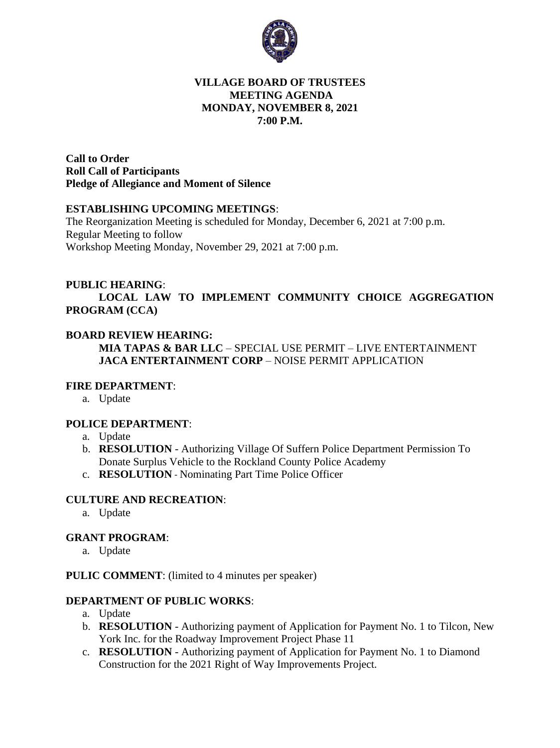

#### **VILLAGE BOARD OF TRUSTEES MEETING AGENDA MONDAY, NOVEMBER 8, 2021 7:00 P.M.**

**Call to Order Roll Call of Participants Pledge of Allegiance and Moment of Silence** 

#### **ESTABLISHING UPCOMING MEETINGS**:

The Reorganization Meeting is scheduled for Monday, December 6, 2021 at 7:00 p.m. Regular Meeting to follow Workshop Meeting Monday, November 29, 2021 at 7:00 p.m.

#### **PUBLIC HEARING**:

**LOCAL LAW TO IMPLEMENT COMMUNITY CHOICE AGGREGATION PROGRAM (CCA)**

#### **BOARD REVIEW HEARING:**

**MIA TAPAS & BAR LLC** – SPECIAL USE PERMIT – LIVE ENTERTAINMENT **JACA ENTERTAINMENT CORP** – NOISE PERMIT APPLICATION

#### **FIRE DEPARTMENT**:

a. Update

#### **POLICE DEPARTMENT**:

- a. Update
- b. **RESOLUTION** Authorizing Village Of Suffern Police Department Permission To Donate Surplus Vehicle to the Rockland County Police Academy
- c. **RESOLUTION** Nominating Part Time Police Officer

#### **CULTURE AND RECREATION**:

a. Update

#### **GRANT PROGRAM**:

a. Update

**PULIC COMMENT**: (limited to 4 minutes per speaker)

#### **DEPARTMENT OF PUBLIC WORKS**:

- a. Update
- b. **RESOLUTION** Authorizing payment of Application for Payment No. 1 to Tilcon, New York Inc. for the Roadway Improvement Project Phase 11
- c. **RESOLUTION** Authorizing payment of Application for Payment No. 1 to Diamond Construction for the 2021 Right of Way Improvements Project.